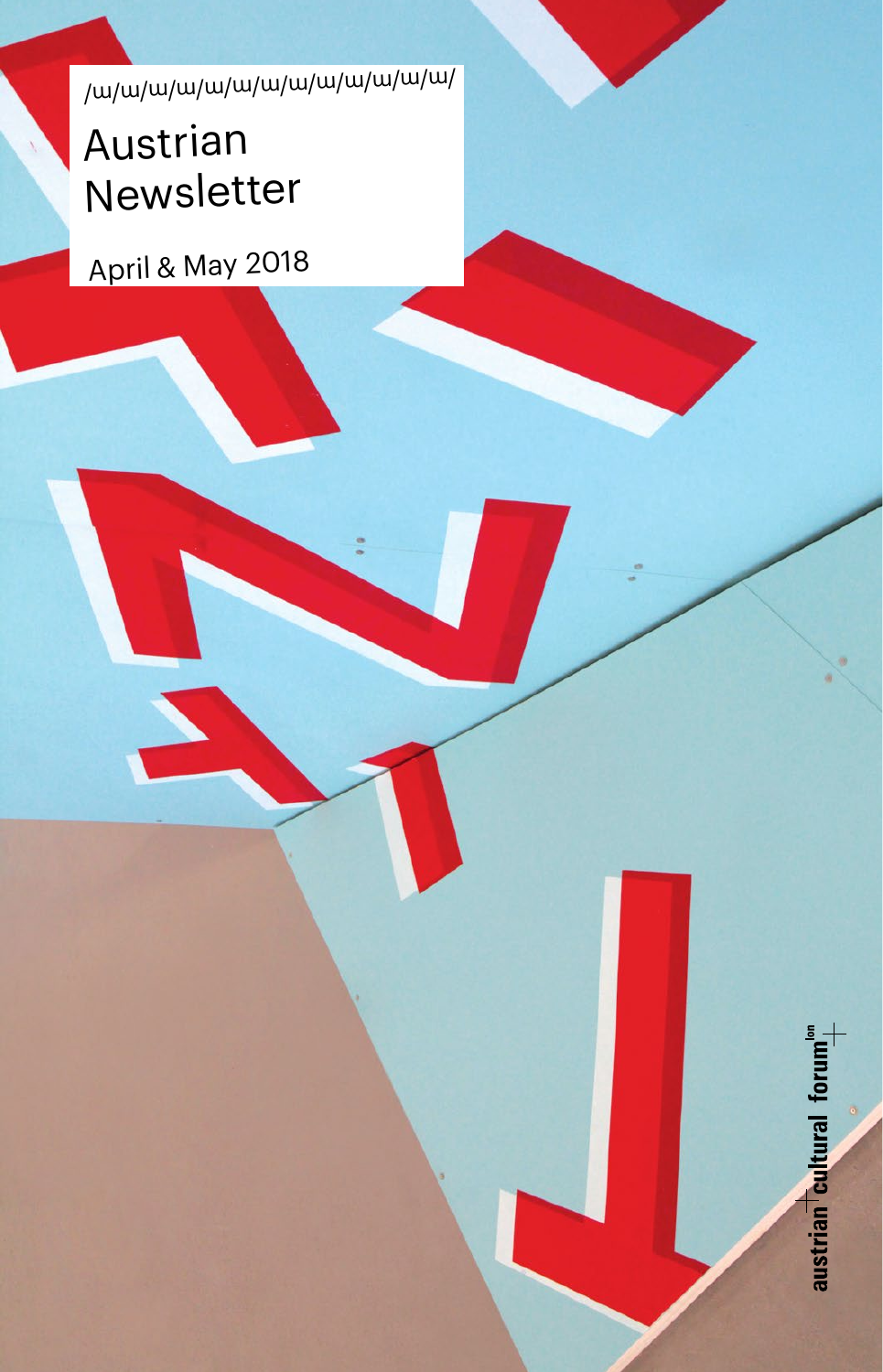/m/m/m/m/m/m/m/m/m/m/m/m/m/

## Austrian Newsletter

April & May 2018

austrian cultural forum"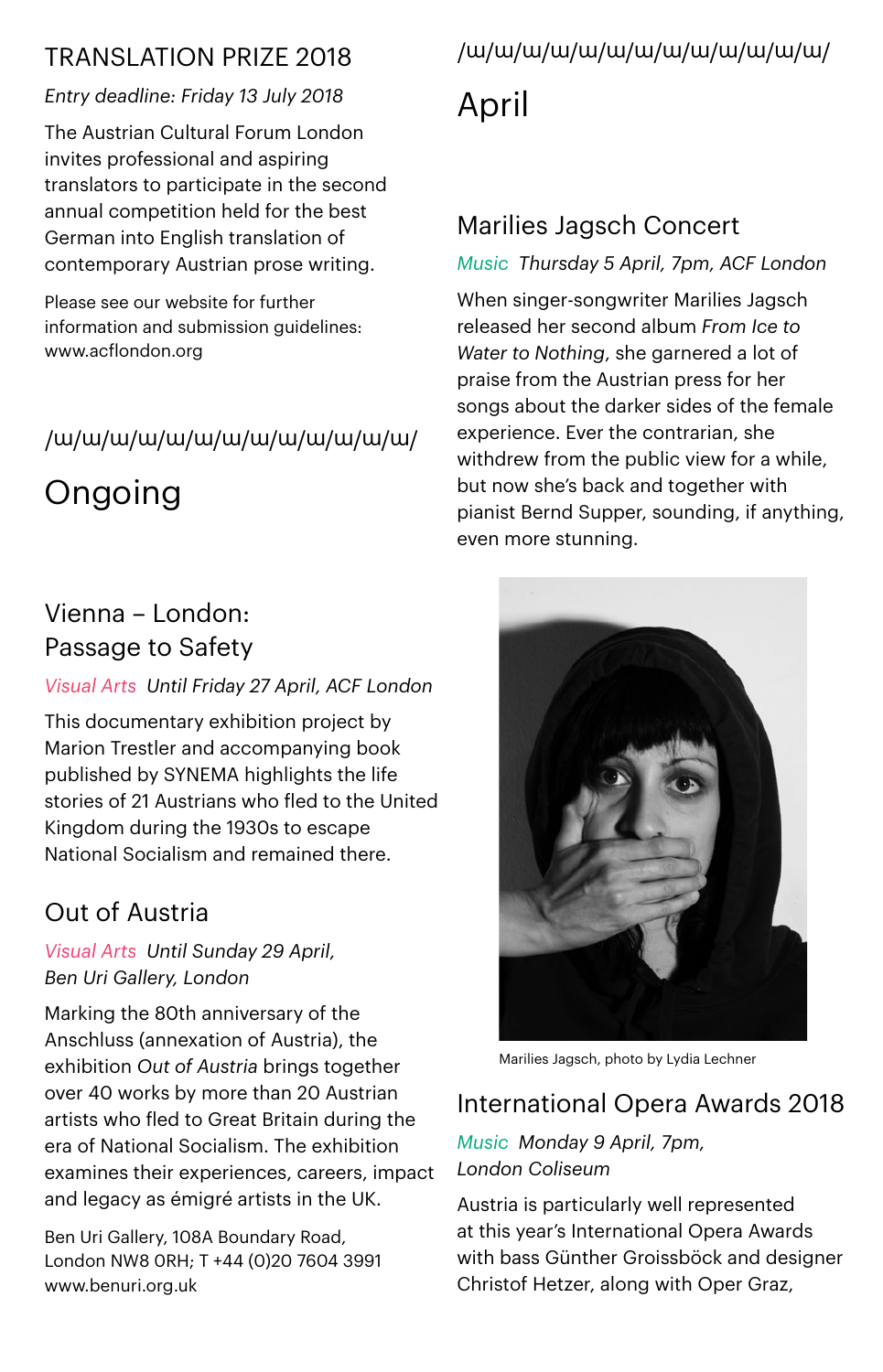### TRANSLATION PRIZE 2018

#### *Entry deadline: Friday 13 July 2018*

The Austrian Cultural Forum London invites professional and aspiring translators to participate in the second annual competition held for the best German into English translation of contemporary Austrian prose writing.

Please see our website for further information and submission quidelines: www.acflondon.org

### /m/m/m/m/m/m/m/m/m/m/m/m/m/

Ongoing

### Vienna – London: Passage to Safety

#### *Visual Arts Until Friday 27 April, ACF London*

This documentary exhibition project by Marion Trestler and accompanying book published by SYNEMA highlights the life stories of 21 Austrians who fled to the United Kingdom during the 1930s to escape National Socialism and remained there.

### Out of Austria

*Visual Arts Until Sunday 29 April, Ben Uri Gallery, London*

Marking the 80th anniversary of the Anschluss (annexation of Austria), the exhibition *Out of Austria* brings together over 40 works by more than 20 Austrian artists who fled to Great Britain during the era of National Socialism. The exhibition examines their experiences, careers, impact and legacy as émigré artists in the UK.

Ben Uri Gallery, 108A Boundary Road, London NW8 0RH; T +44 (0)20 7604 3991 [www.benuri.org.uk](http://www.benuri.org.uk/)

# /m/m/m/m/m/m/m/m/m/m/m/m/m/

April

### Marilies Jagsch Concert

### *Music Thursday 5 April, 7pm, ACF London*

When singer-songwriter Marilies Jagsch released her second album *From Ice to Water to Nothing*, she garnered a lot of praise from the Austrian press for her songs about the darker sides of the female experience. Ever the contrarian, she withdrew from the public view for a while, but now she's back and together with pianist Bernd Supper, sounding, if anything, even more stunning.



Marilies Jagsch, photo by Lydia Lechner

### International Opera Awards 2018

#### *Music Monday 9 April, 7pm, London Coliseum*

Austria is particularly well represented at this year's International Opera Awards with bass Günther Groissböck and designer Christof Hetzer, along with Oper Graz,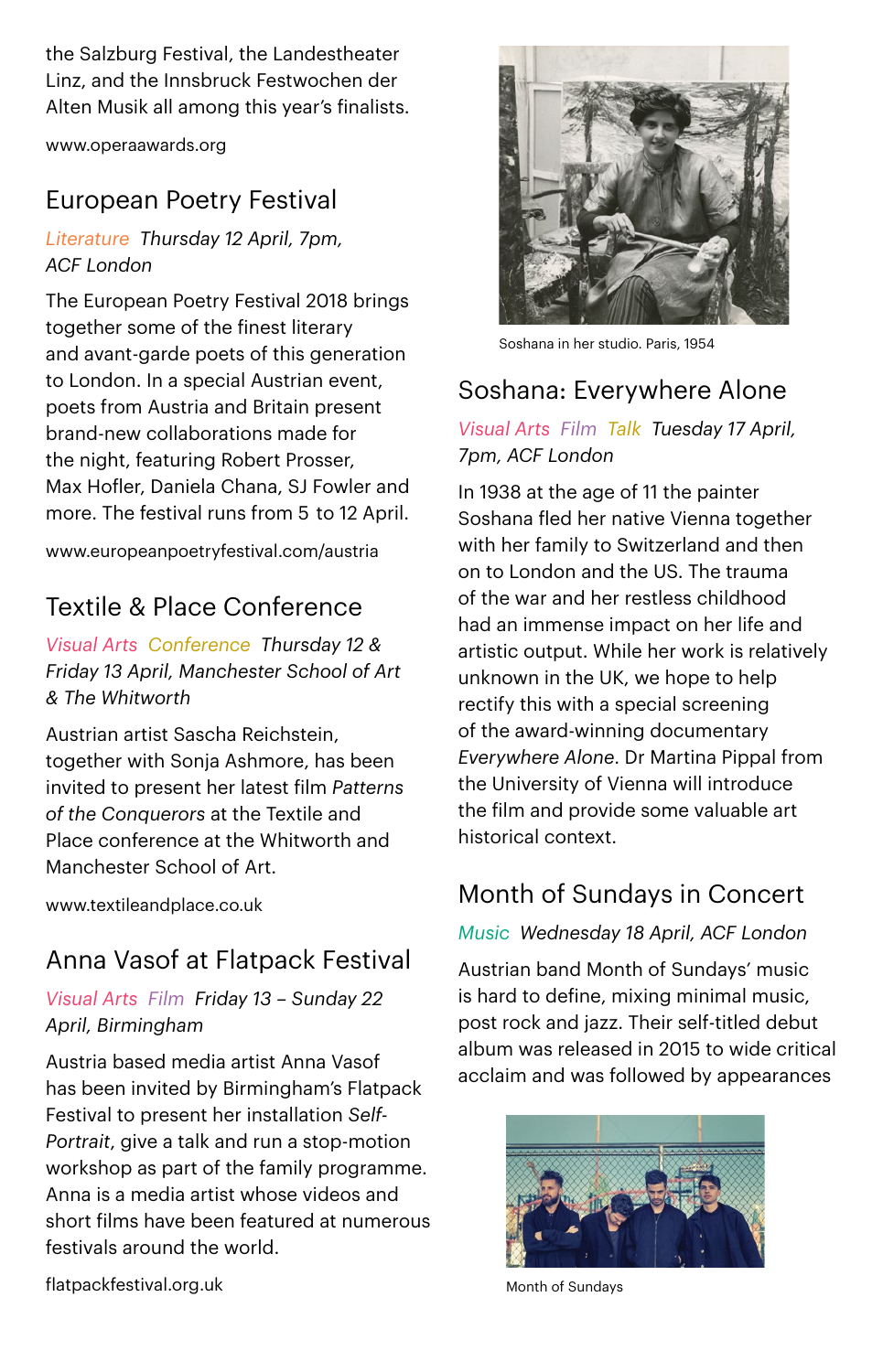the Salzburg Festival, the Landestheater Linz, and the Innsbruck Festwochen der Alten Musik all among this year's finalists.

www.operaawards.org

### European Poetry Festival

*Literature Thursday 12 April, 7pm, ACF London*

The European Poetry Festival 2018 brings together some of the finest literary and avant-garde poets of this generation to London. In a special Austrian event, poets from Austria and Britain present brand-new collaborations made for the night, featuring Robert Prosser, Max Hofler, Daniela Chana, SJ Fowler and more. The festival runs from 5  to 12 April.

[www.europeanpoetryfestival.com/austria](http://www.europeanpoetryfestival.com/austria)

### Textile & Place Conference

*Visual Arts Conference Thursday 12 & Friday 13 April, Manchester School of Art & The Whitworth*

Austrian artist Sascha Reichstein, together with Sonja Ashmore, has been invited to present her latest film *Patterns of the Conquerors* at the Textile and Place conference at the Whitworth and Manchester School of Art.

[www.textileandplace.co.uk](https://www.textileandplace.co.uk/)

### Anna Vasof at Flatpack Festival

*Visual Arts Film Friday 13 – Sunday 22 April, Birmingham*

Austria based media artist Anna Vasof has been invited by Birmingham's Flatpack Festival to present her installation *Self-Portrait*, give a talk and run a stop-motion workshop as part of the family programme. Anna is a media artist whose videos and short films have been featured at numerous festivals around the world.



Soshana in her studio. Paris, 1954

### Soshana: Everywhere Alone

#### *Visual Arts Film Talk Tuesday 17 April, 7pm, ACF London*

In 1938 at the age of 11 the painter Soshana fled her native Vienna together with her family to Switzerland and then on to London and the US. The trauma of the war and her restless childhood had an immense impact on her life and artistic output. While her work is relatively unknown in the UK, we hope to help rectify this with a special screening of the award-winning documentary *Everywhere Alone*. Dr Martina Pippal from the University of Vienna will introduce the film and provide some valuable art historical context.

### Month of Sundays in Concert

*Music Wednesday 18 April, ACF London*

Austrian band Month of Sundays' music is hard to define, mixing minimal music, post rock and jazz. Their self-titled debut album was released in 2015 to wide critical acclaim and was followed by appearances



Month of Sundays

flatpackfestival.org.uk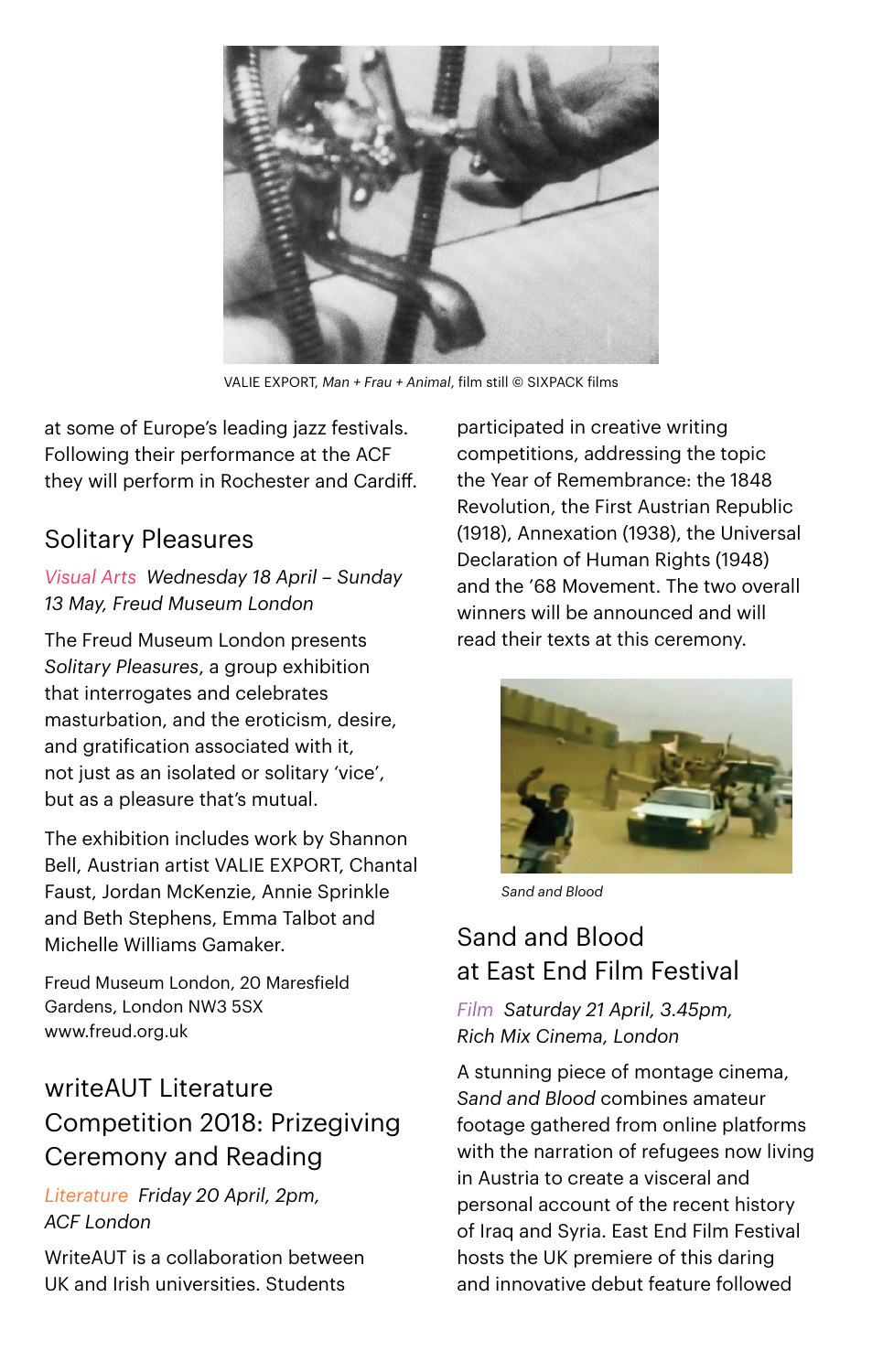

VALIE EXPORT, *Man + Frau + Animal*, film still © SIXPACK films

at some of Europe's leading jazz festivals. Following their performance at the ACF they will perform in Rochester and Cardiff.

### Solitary Pleasures

*Visual Arts Wednesday 18 April – Sunday 13 May, Freud Museum London*

The Freud Museum London presents *Solitary Pleasures*, a group exhibition that interrogates and celebrates masturbation, and the eroticism, desire, and gratification associated with it, not just as an isolated or solitary 'vice', but as a pleasure that's mutual.

The exhibition includes work by Shannon Bell, Austrian artist VALIE EXPORT, Chantal Faust, Jordan McKenzie, Annie Sprinkle and Beth Stephens, Emma Talbot and Michelle Williams Gamaker.

Freud Museum London, 20 Maresfield Gardens, London NW3 5SX [www.freud.org.uk](http://www.freud.org.uk) 

### writeAUT Literature Competition 2018: Prizegiving Ceremony and Reading

*Literature Friday 20 April, 2pm, ACF London*

WriteAUT is a collaboration between UK and Irish universities. Students

participated in creative writing competitions, addressing the topic the Year of Remembrance: the 1848 Revolution, the First Austrian Republic (1918), Annexation (1938), the Universal Declaration of Human Rights (1948) and the '68 Movement. The two overall winners will be announced and will read their texts at this ceremony.



*Sand and Blood*

### Sand and Blood at East End Film Festival

*Film Saturday 21 April, 3.45pm, Rich Mix Cinema, London*

A stunning piece of montage cinema, *Sand and Blood* combines amateur footage gathered from online platforms with the narration of refugees now living in Austria to create a visceral and personal account of the recent history of Iraq and Syria. East End Film Festival hosts the UK premiere of this daring and innovative debut feature followed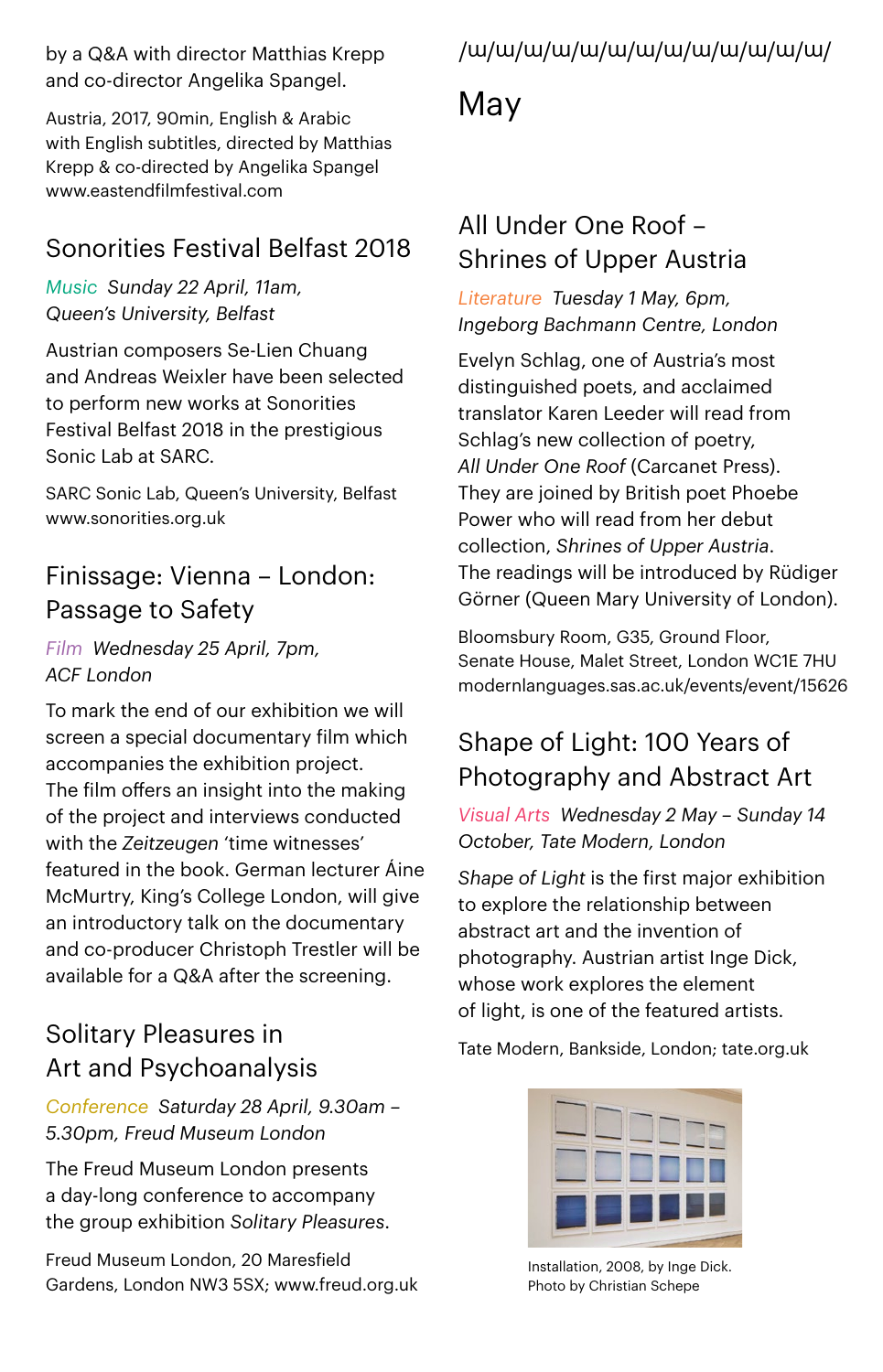by a Q&A with director Matthias Krepp and co-director Angelika Spangel.

Austria, 2017, 90min, English & Arabic with English subtitles, directed by Matthias Krepp & co-directed by Angelika Spangel [www.eastendfilmfestival.com](http://www.eastendfilmfestival.com/) 

### Sonorities Festival Belfast 2018

*Music Sunday 22 April, 11am, Queen's University, Belfast*

Austrian composers Se-Lien Chuang and Andreas Weixler have been selected to perform new works at Sonorities Festival Belfast 2018 in the prestigious Sonic Lab at SARC.

SARC Sonic Lab, Queen's University, Belfast [www.sonorities.org.uk](http://www.sonorities.org.uk) 

### Finissage: Vienna – London: Passage to Safety

*Film Wednesday 25 April, 7pm, ACF London*

To mark the end of our exhibition we will screen a special documentary film which accompanies the exhibition project. The film offers an insight into the making of the project and interviews conducted with the *Zeitzeugen* 'time witnesses' featured in the book. German lecturer Áine McMurtry, King's College London, will give an introductory talk on the documentary and co-producer Christoph Trestler will be available for a Q&A after the screening.

### Solitary Pleasures in Art and Psychoanalysis

*Conference Saturday 28 April, 9.30am – 5.30pm, Freud Museum London*

The Freud Museum London presents a day-long conference to accompany the group exhibition *Solitary Pleasures*.

Freud Museum London, 20 Maresfield Gardens, London NW3 5SX; [www.freud.org.uk](http://www.freud.org.uk)

### /m/m/m/m/m/m/m/m/m/m/m/m/m/

### May

### All Under One Roof – Shrines of Upper Austria

*Literature Tuesday 1 May, 6pm, Ingeborg Bachmann Centre, London*

Evelyn Schlag, one of Austria's most distinguished poets, and acclaimed translator Karen Leeder will read from Schlag's new collection of poetry, *All Under One Roof* (Carcanet Press). They are joined by British poet Phoebe Power who will read from her debut collection, *Shrines of Upper Austria*. The readings will be introduced by Rüdiger Görner (Queen Mary University of London).

Bloomsbury Room, G35, Ground Floor, Senate House, Malet Street, London WC1E 7HU [modernlanguages.sas.ac.uk/events/event/15626](https://modernlanguages.sas.ac.uk/events/event/15626) 

### Shape of Light: 100 Years of Photography and Abstract Art

*Visual Arts Wednesday 2 May – Sunday 14 October, Tate Modern, London*

*Shape of Light* is the first major exhibition to explore the relationship between abstract art and the invention of photography. Austrian artist Inge Dick, whose work explores the element of light, is one of the featured artists.

Tate Modern, Bankside, London; [tate.org.uk](http://www.tate.org.uk)



Installation, 2008, by Inge Dick. Photo by Christian Schepe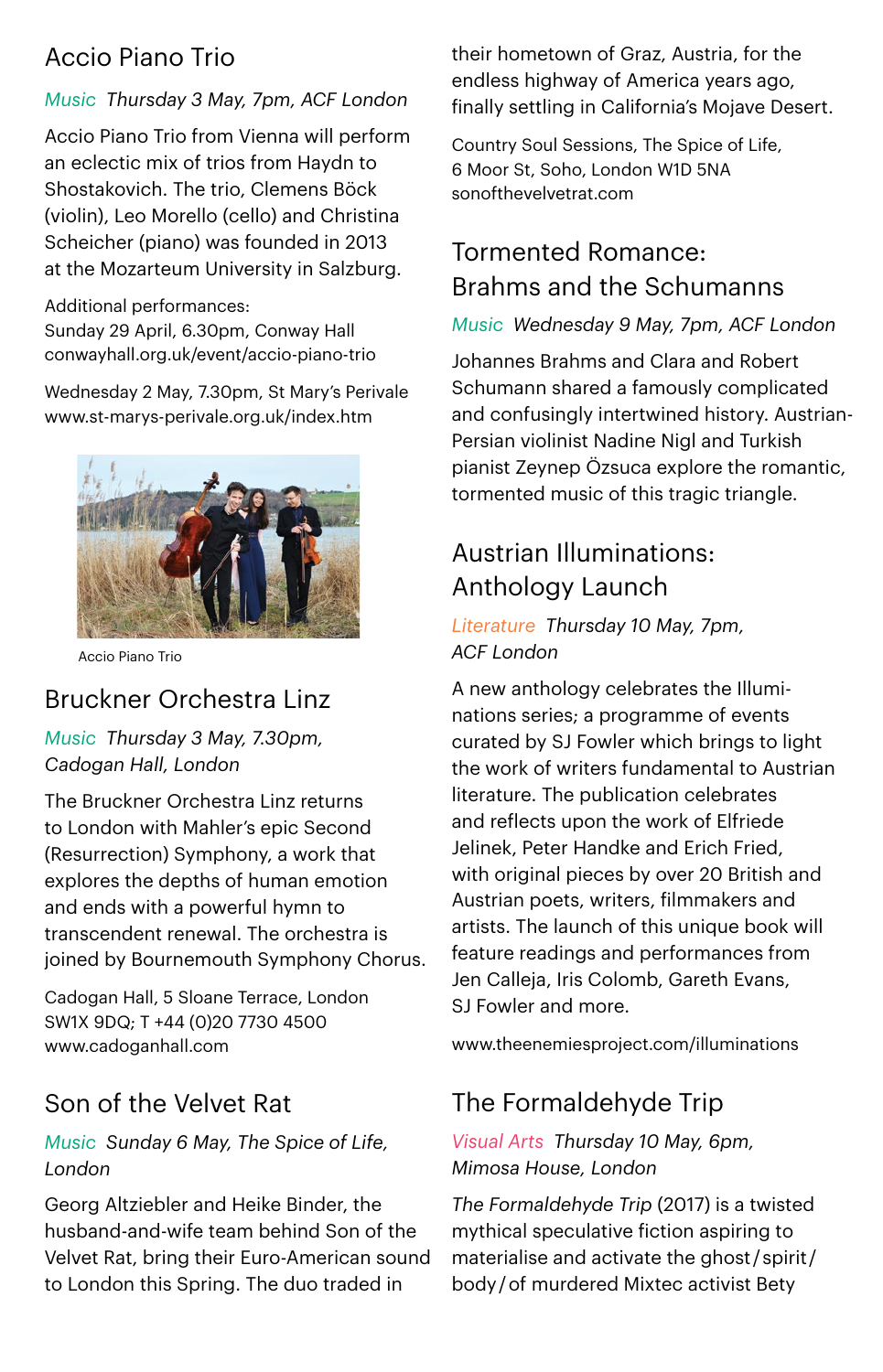### Accio Piano Trio

#### *Music Thursday 3 May, 7pm, ACF London*

Accio Piano Trio from Vienna will perform an eclectic mix of trios from Haydn to Shostakovich. The trio, Clemens Böck (violin), Leo Morello (cello) and Christina Scheicher (piano) was founded in 2013 at the Mozarteum University in Salzburg.

#### Additional performances: Sunday 29 April, 6.30pm, Conway Hall [conwayhall.org.uk/event/accio-piano-trio](https://conwayhall.org.uk/event/accio-piano-trio/)

Wednesday 2 May, 7.30pm, St Mary's Perivale [www.st-marys-perivale.org.uk/index.htm](http://www.st-marys-perivale.org.uk/index.htm) 



Accio Piano Trio

### Bruckner Orchestra Linz

*Music Thursday 3 May, 7.30pm, Cadogan Hall, London*

The Bruckner Orchestra Linz returns to London with Mahler's epic Second (Resurrection) Symphony, a work that explores the depths of human emotion and ends with a powerful hymn to transcendent renewal. The orchestra is joined by Bournemouth Symphony Chorus.

Cadogan Hall, 5 Sloane Terrace, London SW1X 9DQ; T +44 (0)20 7730 4500 www.cadoganhall.com

### Son of the Velvet Rat

#### *Music Sunday 6 May, The Spice of Life, London*

Georg Altziebler and Heike Binder, the husband-and-wife team behind Son of the Velvet Rat, bring their Euro-American sound to London this Spring. The duo traded in

their hometown of Graz, Austria, for the endless highway of America years ago, finally settling in California's Mojave Desert.

Country Soul Sessions, The Spice of Life, 6 Moor St, Soho, London W1D 5NA [sonofthevelvetrat.com](http://sonofthevelvetrat.com) 

### Tormented Romance: Brahms and the Schumanns

#### *Music Wednesday 9 May, 7pm, ACF London*

Johannes Brahms and Clara and Robert Schumann shared a famously complicated and confusingly intertwined history. Austrian-Persian violinist Nadine Nigl and Turkish pianist Zeynep Özsuca explore the romantic, tormented music of this tragic triangle.

### Austrian Illuminations: Anthology Launch

#### *Literature Thursday 10 May, 7pm, ACF London*

A new anthology celebrates the Illuminations series; a programme of events curated by SJ Fowler which brings to light the work of writers fundamental to Austrian literature. The publication celebrates and reflects upon the work of Elfriede Jelinek, Peter Handke and Erich Fried, with original pieces by over 20 British and Austrian poets, writers, filmmakers and artists. The launch of this unique book will feature readings and performances from Jen Calleja, Iris Colomb, Gareth Evans, SJ Fowler and more.

[www.theenemiesproject.com/illuminations](http://www.theenemiesproject.com/illuminations)

### The Formaldehyde Trip

#### *Visual Arts Thursday 10 May, 6pm, Mimosa House, London*

*The Formaldehyde Trip* (2017) is a twisted mythical speculative fiction aspiring to materialise and activate the ghost / spirit /  body / of murdered Mixtec activist Bety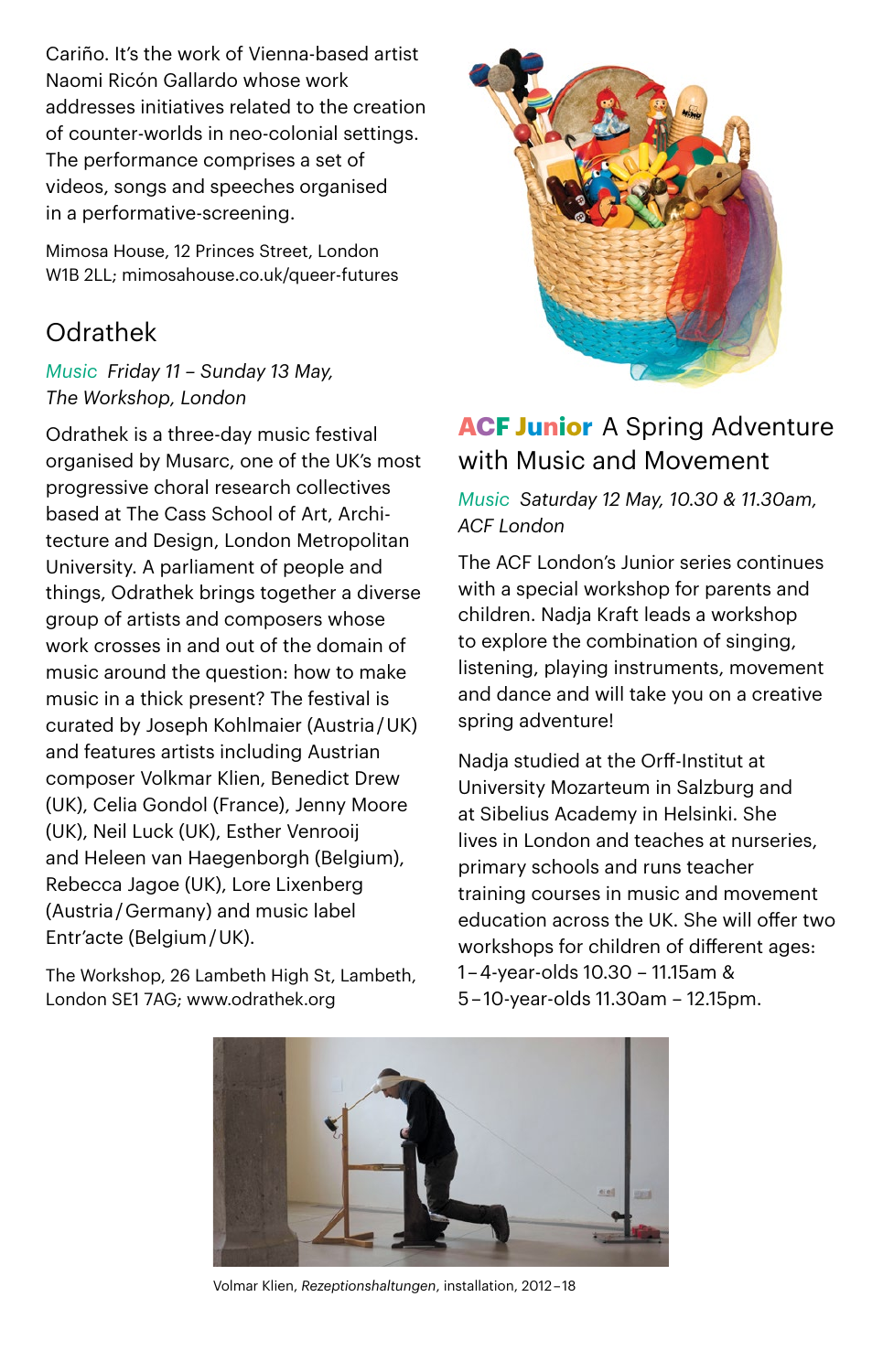Cariño. It's the work of Vienna-based artist Naomi Ricón Gallardo whose work addresses initiatives related to the creation of counter-worlds in neo-colonial settings. The performance comprises a set of videos, songs and speeches organised in a performative-screening.

Mimosa House, 12 Princes Street, London W1B 2LL; [mimosahouse.co.uk/queer-futures](https://mimosahouse.co.uk/queer-futures) 

### Odrathek

#### *Music Friday 11 – Sunday 13 May, The Workshop, London*

Odrathek is a three-day music festival organised by Musarc, one of the UK's most progressive choral research collectives based at The Cass School of Art, Architecture and Design, London Metropolitan University. A parliament of people and things, Odrathek brings together a diverse group of artists and composers whose work crosses in and out of the domain of music around the question: how to make music in a thick present? The festival is curated by Joseph Kohlmaier (Austria / UK) and features artists including Austrian composer Volkmar Klien, Benedict Drew (UK), Celia Gondol (France), Jenny Moore (UK), Neil Luck (UK), Esther Venrooij and Heleen van Haegenborgh (Belgium), Rebecca Jagoe (UK), Lore Lixenberg (Austria / Germany) and music label Entr'acte (Belgium / UK).

The Workshop, 26 Lambeth High St, Lambeth, London SE1 7AG; www.odrathek.org



### **ACF Junior**  A Spring Adventure with Music and Movement

*Music Saturday 12 May, 10.30 & 11.30am, ACF London*

The ACF London's Junior series continues with a special workshop for parents and children. Nadja Kraft leads a workshop to explore the combination of singing, listening, playing instruments, movement and dance and will take you on a creative spring adventure!

Nadja studied at the Orff-Institut at University Mozarteum in Salzburg and at Sibelius Academy in Helsinki. She lives in London and teaches at nurseries, primary schools and runs teacher training courses in music and movement education across the UK. She will offer two workshops for children of different ages: 1 – 4-year-olds 10.30 – 11.15am & 5 – 10-year-olds 11.30am – 12.15pm.



Volmar Klien, *Rezeptionshaltungen*, installation, 2012 – 18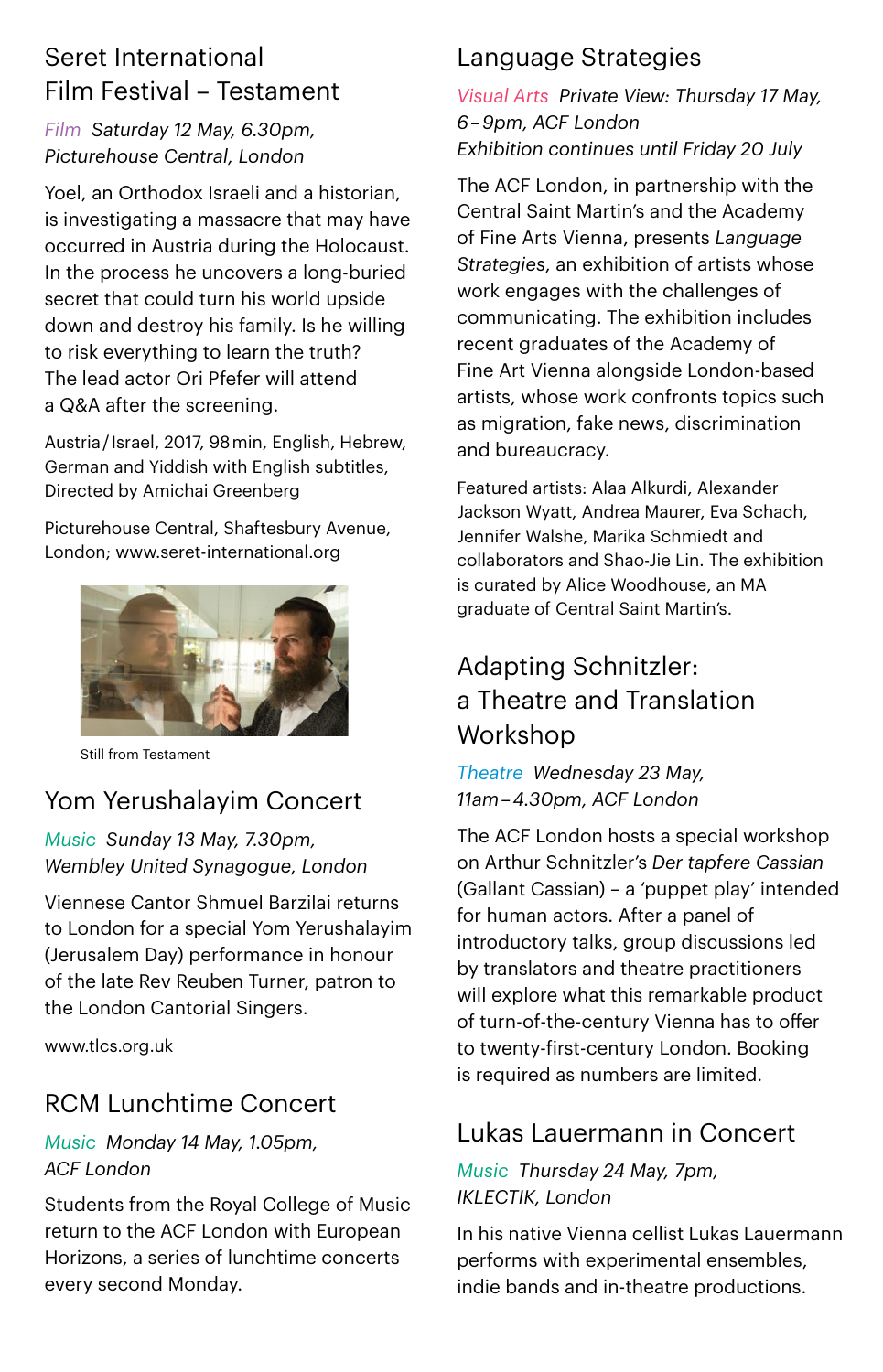### Seret International Film Festival – Testament

#### *Film Saturday 12 May, 6.30pm, Picturehouse Central, London*

Yoel, an Orthodox Israeli and a historian, is investigating a massacre that may have occurred in Austria during the Holocaust. In the process he uncovers a long-buried secret that could turn his world upside down and destroy his family. Is he willing to risk everything to learn the truth? The lead actor Ori Pfefer will attend a Q&A after the screening.

Austria / Israel, 2017, 98 min, English, Hebrew, German and Yiddish with English subtitles, Directed by Amichai Greenberg

Picturehouse Central, Shaftesbury Avenue, London; [www.seret-international.org](http://www.seret-international.org/)



Still from Testament

### Yom Yerushalayim Concert

#### *Music Sunday 13 May, 7.30pm, Wembley United Synagogue, London*

Viennese Cantor Shmuel Barzilai returns to London for a special Yom Yerushalayim (Jerusalem Day) performance in honour of the late Rev Reuben Turner, patron to the London Cantorial Singers.

[www.tlcs.org.uk](http://www.tlc.org.uk)

### RCM Lunchtime Concert

#### *Music Monday 14 May, 1.05pm, ACF London*

Students from the Royal College of Music return to the ACF London with European Horizons, a series of lunchtime concerts every second Monday.

### Language Strategies

*Visual Arts Private View: Thursday 17 May, 6 – 9pm, ACF London Exhibition continues until Friday 20 July*

The ACF London, in partnership with the Central Saint Martin's and the Academy of Fine Arts Vienna, presents *Language Strategies*, an exhibition of artists whose work engages with the challenges of communicating. The exhibition includes recent graduates of the Academy of Fine Art Vienna alongside London-based artists, whose work confronts topics such as migration, fake news, discrimination and bureaucracy.

Featured artists: Alaa Alkurdi, Alexander Jackson Wyatt, Andrea Maurer, Eva Schach, Jennifer Walshe, Marika Schmiedt and collaborators and Shao-Jie Lin. The exhibition is curated by Alice Woodhouse, an MA graduate of Central Saint Martin's.

### Adapting Schnitzler: a Theatre and Translation Workshop

*Theatre Wednesday 23 May, 11am – 4.30pm, ACF London*

The ACF London hosts a special workshop on Arthur Schnitzler's *Der tapfere Cassian* (Gallant Cassian) – a 'puppet play' intended for human actors. After a panel of introductory talks, group discussions led by translators and theatre practitioners will explore what this remarkable product of turn-of-the-century Vienna has to offer to twenty-first-century London. Booking is required as numbers are limited.

### Lukas Lauermann in Concert

#### *Music Thursday 24 May, 7pm, IKLECTIK, London*

In his native Vienna cellist Lukas Lauermann performs with experimental ensembles, indie bands and in-theatre productions.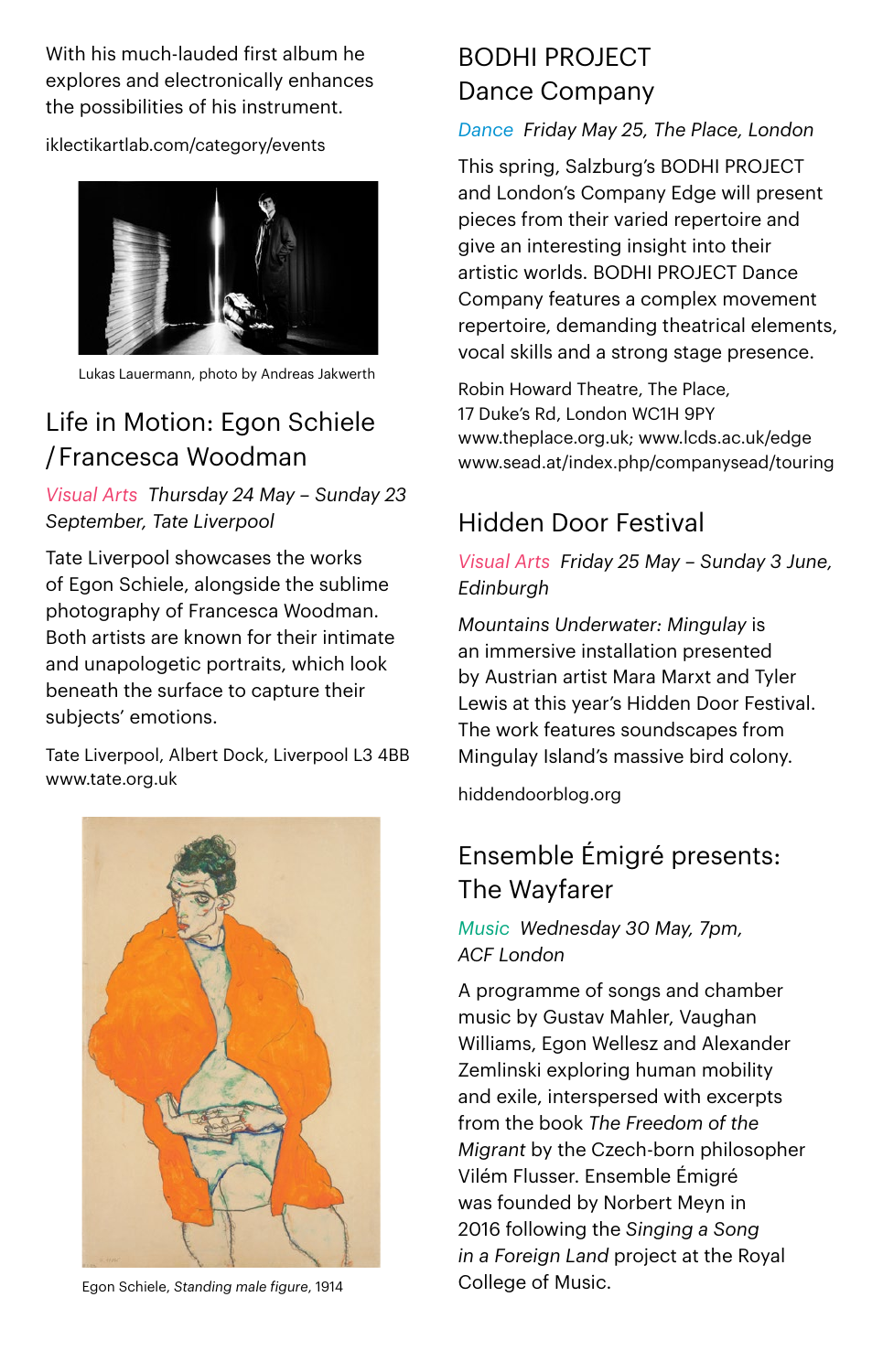With his much-lauded first album he explores and electronically enhances the possibilities of his instrument.

[iklectikartlab.com/category/events](http://iklectikartlab.com/category/events/)



Lukas Lauermann, photo by Andreas Jakwerth

### Life in Motion: Egon Schiele / Francesca Woodman

#### *Visual Arts Thursday 24 May – Sunday 23 September, Tate Liverpool*

Tate Liverpool showcases the works of Egon Schiele, alongside the sublime photography of Francesca Woodman. Both artists are known for their intimate and unapologetic portraits, which look beneath the surface to capture their subjects' emotions.

Tate Liverpool, Albert Dock, Liverpool L3 4BB [www.tate.org.uk](http://www.tate.org.uk) 



Egon Schiele, *Standing male figure*, 1914 College of Music.

### BODHI PROJECT Dance Company

#### *Dance Friday May 25, The Place, London*

This spring, Salzburg's BODHI PROJECT and London's Company Edge will present pieces from their varied repertoire and give an interesting insight into their artistic worlds. BODHI PROJECT Dance Company features a complex movement repertoire, demanding theatrical elements, vocal skills and a strong stage presence.

Robin Howard Theatre, The Place, 17 Duke's Rd, London WC1H 9PY [www.theplace.org.uk;](https://www.theplace.org.uk/) [www.lcds.ac.uk/edge](https://www.lcds.ac.uk/edge) [www.sead.at/index.php/companysead/touring](http://www.sead.at/index.php/companysead/touring) 

### Hidden Door Festival

*Visual Arts Friday 25 May – Sunday 3 June, Edinburgh*

*Mountains Underwater: Mingulay* is an immersive installation presented by Austrian artist Mara Marxt and Tyler Lewis at this year's Hidden Door Festival. The work features soundscapes from Mingulay Island's massive bird colony.

[hiddendoorblog.org](http://hiddendoorblog.org/)

### Ensemble Émigré presents: The Wayfarer

#### *Music Wednesday 30 May, 7pm, ACF London*

A programme of songs and chamber music by Gustav Mahler, Vaughan Williams, Egon Wellesz and Alexander Zemlinski exploring human mobility and exile, interspersed with excerpts from the book *The Freedom of the Migrant* by the Czech-born philosopher Vilém Flusser. Ensemble Émigré was founded by Norbert Meyn in 2016 following the *Singing a Song in a Foreign Land* project at the Royal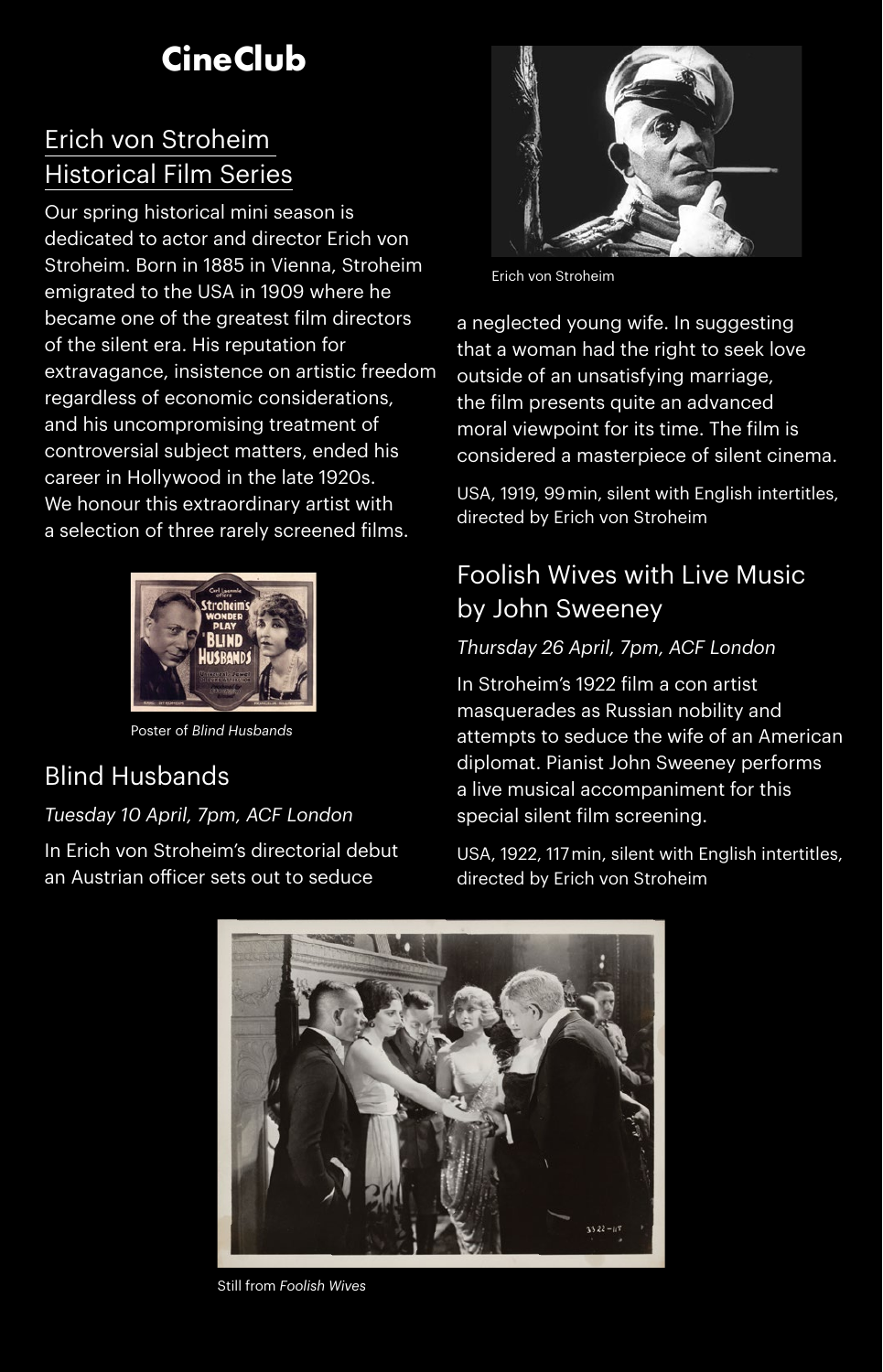## **CineClub**

### Erich von Stroheim Historical Film Series

Our spring historical mini season is dedicated to actor and director Erich von Stroheim. Born in 1885 in Vienna, Stroheim emigrated to the USA in 1909 where he became one of the greatest film directors of the silent era. His reputation for extravagance, insistence on artistic freedom regardless of economic considerations, and his uncompromising treatment of controversial subject matters, ended his career in Hollywood in the late 1920s. We honour this extraordinary artist with a selection of three rarely screened films.



Poster of *Blind Husbands*

### Blind Husbands

#### *Tuesday 10 April, 7pm, ACF London*

In Erich von Stroheim's directorial debut an Austrian officer sets out to seduce



Erich von Stroheim

a neglected young wife. In suggesting that a woman had the right to seek love outside of an unsatisfying marriage, the film presents quite an advanced moral viewpoint for its time. The film is considered a masterpiece of silent cinema.

USA, 1919, 99 min, silent with English intertitles, directed by Erich von Stroheim

### Foolish Wives with Live Music by John Sweeney

#### *Thursday 26 April, 7pm, ACF London*

In Stroheim's 1922 film a con artist masquerades as Russian nobility and attempts to seduce the wife of an American diplomat. Pianist John Sweeney performs a live musical accompaniment for this special silent film screening.

USA, 1922, 117 min, silent with English intertitles, directed by Erich von Stroheim



Still from *Foolish Wives*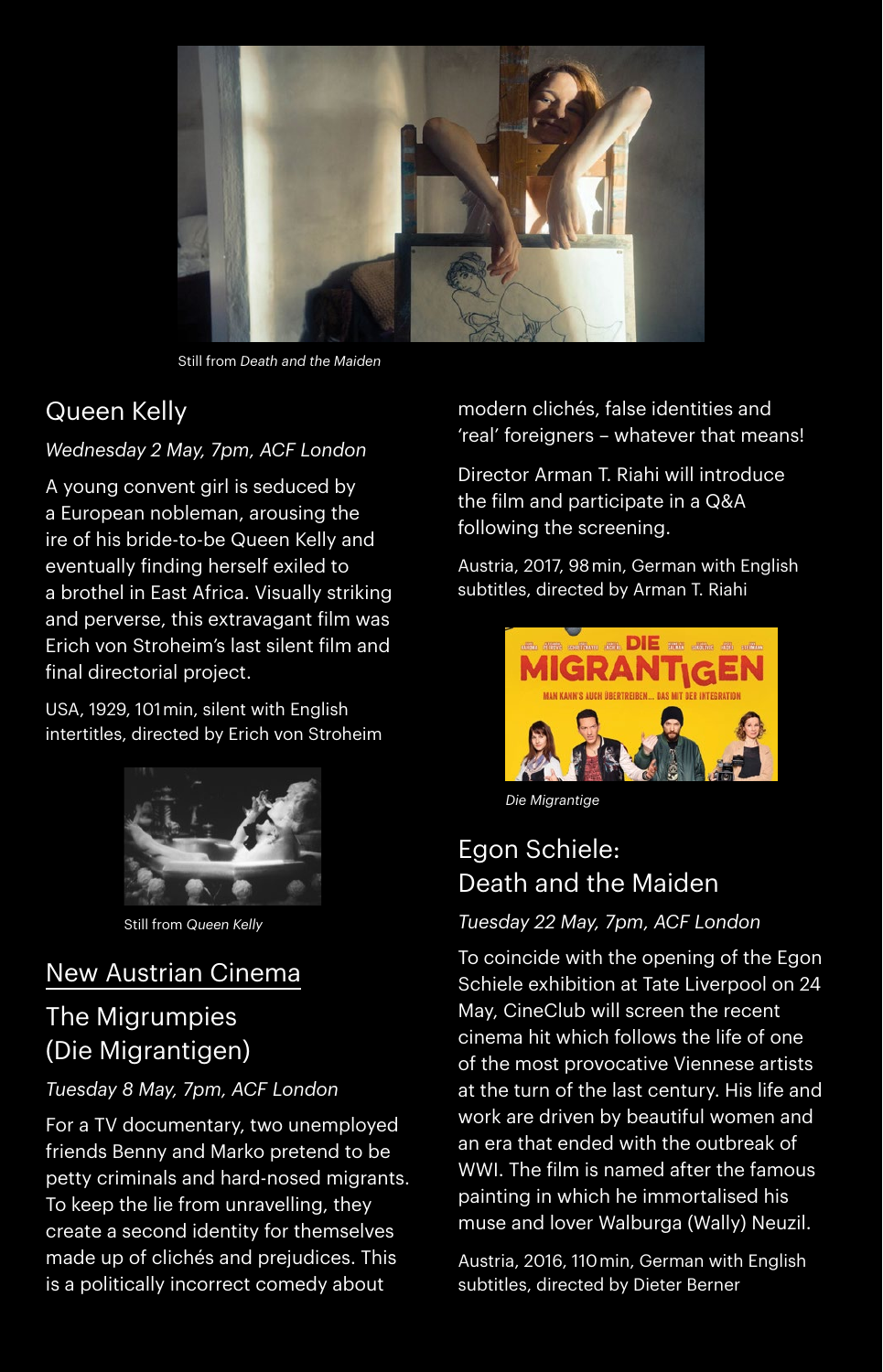

Still from *Death and the Maiden*

### Queen Kelly

#### *Wednesday 2 May, 7pm, ACF London*

A young convent girl is seduced by a European nobleman, arousing the ire of his bride-to-be Queen Kelly and eventually finding herself exiled to a brothel in East Africa. Visually striking and perverse, this extravagant film was Erich von Stroheim's last silent film and final directorial project.

USA, 1929, 101 min, silent with English intertitles, directed by Erich von Stroheim



Still from *Queen Kelly*

### New Austrian Cinema

### The Migrumpies (Die Migrantigen)

#### *Tuesday 8 May, 7pm, ACF London*

For a TV documentary, two unemployed friends Benny and Marko pretend to be petty criminals and hard-nosed migrants. To keep the lie from unravelling, they create a second identity for themselves made up of clichés and prejudices. This is a politically incorrect comedy about

modern clichés, false identities and 'real' foreigners – whatever that means!

Director Arman T. Riahi will introduce the film and participate in a Q&A following the screening.

Austria, 2017, 98 min, German with English subtitles, directed by Arman T. Riahi



*Die Migrantige*

### Egon Schiele: Death and the Maiden

#### *Tuesday 22 May, 7pm, ACF London*

To coincide with the opening of the Egon Schiele exhibition at Tate Liverpool on 24 May, CineClub will screen the recent cinema hit which follows the life of one of the most provocative Viennese artists at the turn of the last century. His life and work are driven by beautiful women and an era that ended with the outbreak of WWI. The film is named after the famous painting in which he immortalised his muse and lover Walburga (Wally) Neuzil.

Austria, 2016, 110 min, German with English subtitles, directed by Dieter Berner